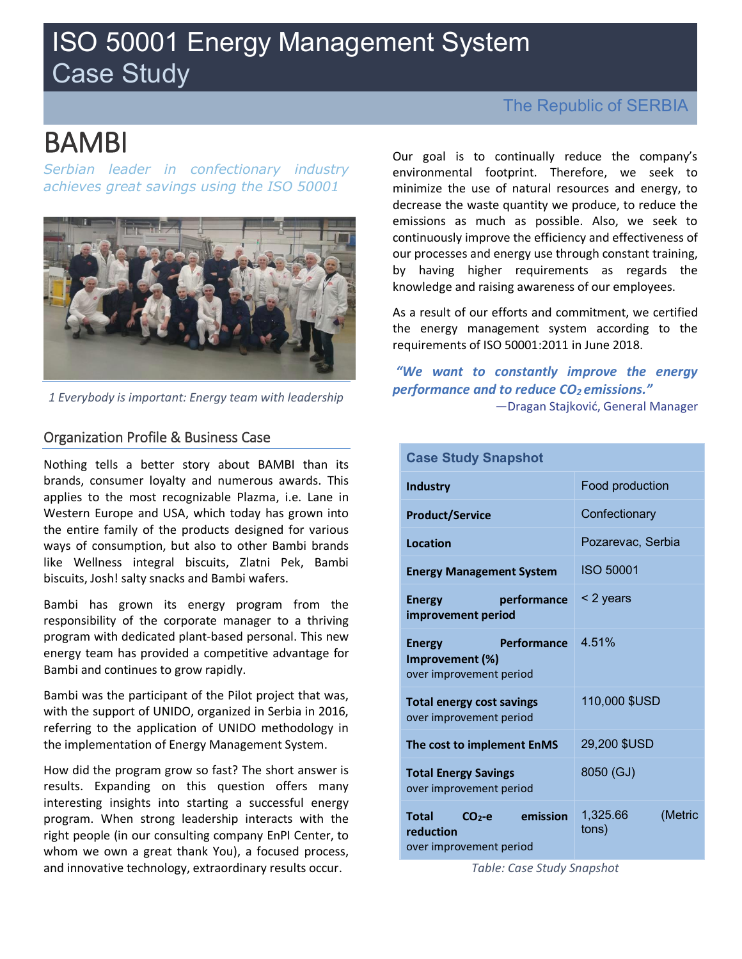# ISO 50001 Energy Management System Case Study

# BAMBI

*Serbian leader in confectionary industry achieves great savings using the ISO 50001* 



*1 Everybody is important: Energy team with leadership*

### Organization Profile & Business Case

Nothing tells a better story about BAMBI than its brands, consumer loyalty and numerous awards. This applies to the most recognizable Plazma, i.e. Lane in Western Europe and USA, which today has grown into the entire family of the products designed for various ways of consumption, but also to other Bambi brands like Wellness integral biscuits, Zlatni Pek, Bambi biscuits, Josh! salty snacks and Bambi wafers.

Bambi has grown its energy program from the responsibility of the corporate manager to a thriving program with dedicated plant-based personal. This new energy team has provided a competitive advantage for Bambi and continues to grow rapidly.

Bambi was the participant of the Pilot project that was, with the support of UNIDO, organized in Serbia in 2016, referring to the application of UNIDO methodology in the implementation of Energy Management System.

How did the program grow so fast? The short answer is results. Expanding on this question offers many interesting insights into starting a successful energy program. When strong leadership interacts with the right people (in our consulting company EnPI Center, to whom we own a great thank You), a focused process, and innovative technology, extraordinary results occur.

## The Republic of SERBIA

Our goal is to continually reduce the company's environmental footprint. Therefore, we seek to minimize the use of natural resources and energy, to decrease the waste quantity we produce, to reduce the emissions as much as possible. Also, we seek to continuously improve the efficiency and effectiveness of our processes and energy use through constant training, by having higher requirements as regards the knowledge and raising awareness of our employees.

As a result of our efforts and commitment, we certified the energy management system according to the requirements of ISO 50001:2011 in June 2018.

*"We want to constantly improve the energy performance and to reduce CO2 emissions."* —Dragan Stajković, General Manager

| <b>Case Study Snapshot</b>                                                 |                              |  |  |  |  |  |  |  |
|----------------------------------------------------------------------------|------------------------------|--|--|--|--|--|--|--|
| Industry                                                                   | Food production              |  |  |  |  |  |  |  |
| <b>Product/Service</b>                                                     | Confectionary                |  |  |  |  |  |  |  |
| <b>Location</b>                                                            | Pozarevac, Serbia            |  |  |  |  |  |  |  |
| <b>Energy Management System</b>                                            | <b>ISO 50001</b>             |  |  |  |  |  |  |  |
| performance<br><b>Energy</b><br>improvement period                         | < 2 years                    |  |  |  |  |  |  |  |
| Performance<br><b>Energy</b><br>Improvement (%)<br>over improvement period | 4.51%                        |  |  |  |  |  |  |  |
| <b>Total energy cost savings</b><br>over improvement period                | 110,000 \$USD                |  |  |  |  |  |  |  |
| The cost to implement EnMS                                                 | 29,200 \$USD                 |  |  |  |  |  |  |  |
| <b>Total Energy Savings</b><br>over improvement period                     | 8050 (GJ)                    |  |  |  |  |  |  |  |
| emission<br>Total<br>$CO2-e$<br>reduction<br>over improvement period       | 1,325.66<br>(Metric<br>tons) |  |  |  |  |  |  |  |

*Table: Case Study Snapshot*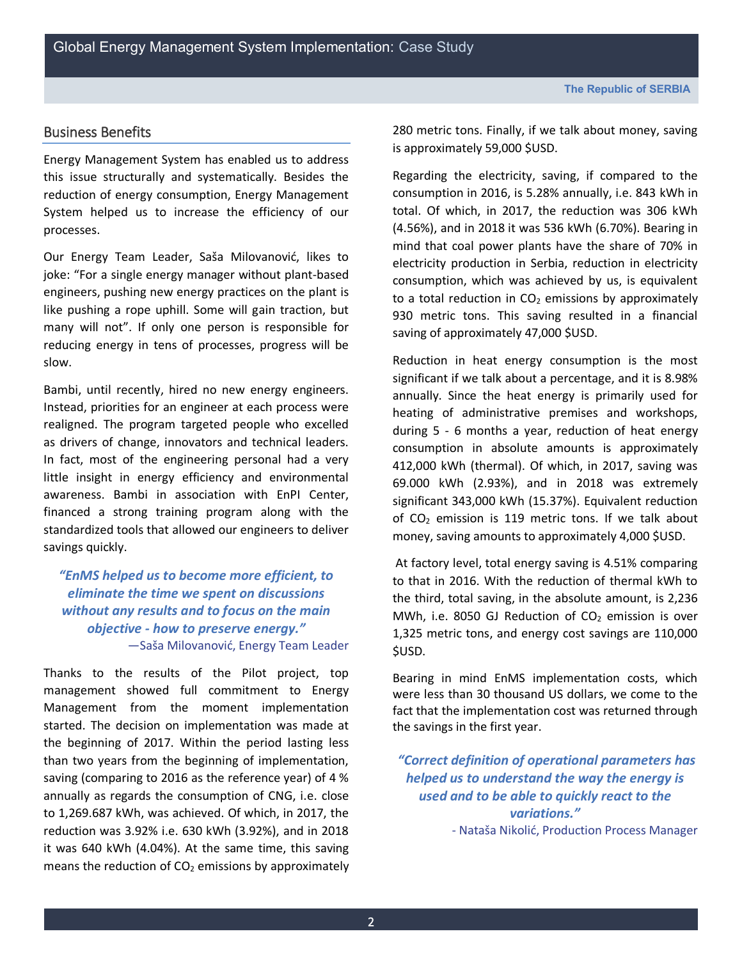## Business Benefits

Energy Management System has enabled us to address this issue structurally and systematically. Besides the reduction of energy consumption, Energy Management System helped us to increase the efficiency of our processes.

Our Energy Team Leader, Saša Milovanović, likes to joke: "For a single energy manager without plant-based engineers, pushing new energy practices on the plant is like pushing a rope uphill. Some will gain traction, but many will not". If only one person is responsible for reducing energy in tens of processes, progress will be slow.

Bambi, until recently, hired no new energy engineers. Instead, priorities for an engineer at each process were realigned. The program targeted people who excelled as drivers of change, innovators and technical leaders. In fact, most of the engineering personal had a very little insight in energy efficiency and environmental awareness. Bambi in association with EnPI Center, financed a strong training program along with the standardized tools that allowed our engineers to deliver savings quickly.

*"EnMS helped us to become more efficient, to eliminate the time we spent on discussions without any results and to focus on the main objective - how to preserve energy."* —Saša Milovanović, Energy Team Leader

Thanks to the results of the Pilot project, top management showed full commitment to Energy Management from the moment implementation started. The decision on implementation was made at the beginning of 2017. Within the period lasting less than two years from the beginning of implementation, saving (comparing to 2016 as the reference year) of 4 % annually as regards the consumption of CNG, i.e. close to 1,269.687 kWh, was achieved. Of which, in 2017, the reduction was 3.92% i.e. 630 kWh (3.92%), and in 2018 it was 640 kWh (4.04%). At the same time, this saving means the reduction of  $CO<sub>2</sub>$  emissions by approximately 280 metric tons. Finally, if we talk about money, saving is approximately 59,000 \$USD.

Regarding the electricity, saving, if compared to the consumption in 2016, is 5.28% annually, i.e. 843 kWh in total. Of which, in 2017, the reduction was 306 kWh (4.56%), and in 2018 it was 536 kWh (6.70%). Bearing in mind that coal power plants have the share of 70% in electricity production in Serbia, reduction in electricity consumption, which was achieved by us, is equivalent to a total reduction in  $CO<sub>2</sub>$  emissions by approximately 930 metric tons. This saving resulted in a financial saving of approximately 47,000 \$USD.

Reduction in heat energy consumption is the most significant if we talk about a percentage, and it is 8.98% annually. Since the heat energy is primarily used for heating of administrative premises and workshops, during 5 - 6 months a year, reduction of heat energy consumption in absolute amounts is approximately 412,000 kWh (thermal). Of which, in 2017, saving was 69.000 kWh (2.93%), and in 2018 was extremely significant 343,000 kWh (15.37%). Equivalent reduction of  $CO<sub>2</sub>$  emission is 119 metric tons. If we talk about money, saving amounts to approximately 4,000 \$USD.

At factory level, total energy saving is 4.51% comparing to that in 2016. With the reduction of thermal kWh to the third, total saving, in the absolute amount, is 2,236 MWh, i.e. 8050 GJ Reduction of  $CO<sub>2</sub>$  emission is over 1,325 metric tons, and energy cost savings are 110,000 \$USD.

Bearing in mind EnMS implementation costs, which were less than 30 thousand US dollars, we come to the fact that the implementation cost was returned through the savings in the first year.

*"Correct definition of operational parameters has helped us to understand the way the energy is used and to be able to quickly react to the variations."*

- Nataša Nikolić, Production Process Manager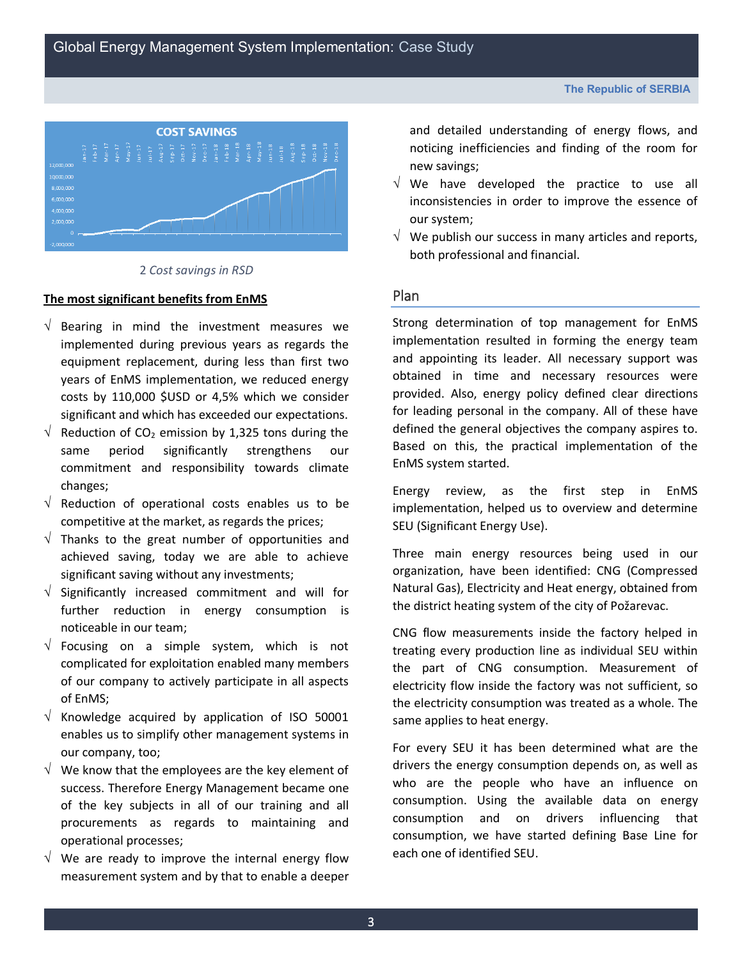

#### 2 *Cost savings in RSD*

#### **The most significant benefits from EnMS**

- $\sqrt{ }$  Bearing in mind the investment measures we implemented during previous years as regards the equipment replacement, during less than first two years of EnMS implementation, we reduced energy costs by 110,000 \$USD or 4,5% which we consider significant and which has exceeded our expectations.
- $\sqrt{ }$  Reduction of CO<sub>2</sub> emission by 1,325 tons during the same period significantly strengthens our commitment and responsibility towards climate changes;
- $\sqrt{ }$  Reduction of operational costs enables us to be competitive at the market, as regards the prices;
- $\sqrt{ }$  Thanks to the great number of opportunities and achieved saving, today we are able to achieve significant saving without any investments;
- $\sqrt{ }$  Significantly increased commitment and will for further reduction in energy consumption is noticeable in our team;
- $\sqrt{ }$  Focusing on a simple system, which is not complicated for exploitation enabled many members of our company to actively participate in all aspects of EnMS;
- $\sqrt{ }$  Knowledge acquired by application of ISO 50001 enables us to simplify other management systems in our company, too;
- $\sqrt{ }$  We know that the employees are the key element of success. Therefore Energy Management became one of the key subjects in all of our training and all procurements as regards to maintaining and operational processes;
- $\sqrt{ }$  We are ready to improve the internal energy flow measurement system and by that to enable a deeper

and detailed understanding of energy flows, and noticing inefficiencies and finding of the room for new savings;

- $\sqrt{ }$  We have developed the practice to use all inconsistencies in order to improve the essence of our system;
- $\sqrt{ }$  We publish our success in many articles and reports, both professional and financial.

#### Plan

Strong determination of top management for EnMS implementation resulted in forming the energy team and appointing its leader. All necessary support was obtained in time and necessary resources were provided. Also, energy policy defined clear directions for leading personal in the company. All of these have defined the general objectives the company aspires to. Based on this, the practical implementation of the EnMS system started.

Energy review, as the first step in EnMS implementation, helped us to overview and determine SEU (Significant Energy Use).

Three main energy resources being used in our organization, have been identified: CNG (Compressed Natural Gas), Electricity and Heat energy, obtained from the district heating system of the city of Požarevac.

CNG flow measurements inside the factory helped in treating every production line as individual SEU within the part of CNG consumption. Measurement of electricity flow inside the factory was not sufficient, so the electricity consumption was treated as a whole. The same applies to heat energy.

For every SEU it has been determined what are the drivers the energy consumption depends on, as well as who are the people who have an influence on consumption. Using the available data on energy consumption and on drivers influencing that consumption, we have started defining Base Line for each one of identified SEU.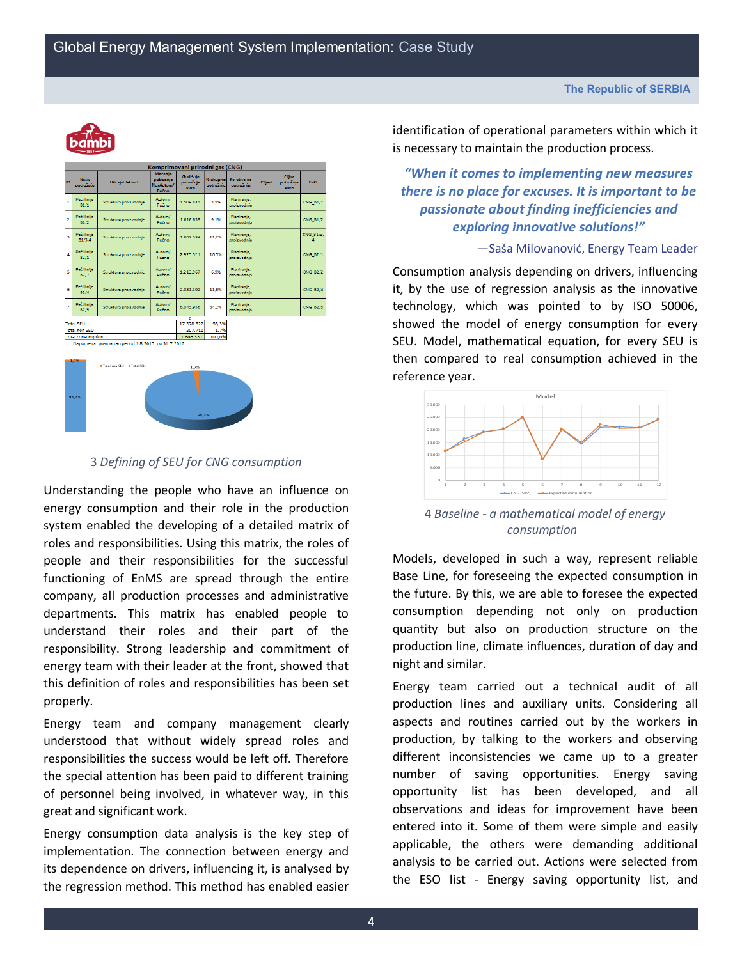

| Komprimovani prirodni gas (CNG)                                                |                              |                          |                                                   |                                     |                       |                            |         |                                   |                 |  |  |
|--------------------------------------------------------------------------------|------------------------------|--------------------------|---------------------------------------------------|-------------------------------------|-----------------------|----------------------------|---------|-----------------------------------|-----------------|--|--|
| ID                                                                             | Noziv.<br>potrošača          | Uticajni faktori         | <b>Merenie</b><br>potrošnie<br>Ne/Autom/<br>Ručno | Godišnie<br>potrošnja<br><b>kWh</b> | % ukupne<br>potrošnje | Ko utiče na<br>potrošnju   | Ciljevi | Cilina<br>potrošnja<br><b>kWh</b> | EnPI            |  |  |
| 1                                                                              | Peći linije<br>81/1          | Struktura proizvodnie    | Autom/<br>Ručno                                   | 1.509.843                           | 8.5%                  | Planiranie.<br>proizvodnja |         |                                   | CNG B1/1        |  |  |
| $\overline{2}$                                                                 | Peči linije<br>B1/2          | Struktura proizvodnje    | Autom/<br>Ručno                                   | 1.616.639                           | 9.1%                  | Planicanie.<br>proizvodnja |         |                                   | <b>CNG B1/2</b> |  |  |
| B                                                                              | Peći linije<br><b>B1/3.4</b> | Struktura proizvodnje    | Autom/<br>Ručno:                                  | 1987.594                            | 11.2%                 | Planiranie,<br>proizvodnja |         |                                   | CNG_B1/3,<br>Δ  |  |  |
| 4                                                                              | Pedi linije<br>B2/1          | Struktura proizvodnje    | Autom/<br>Ručno                                   | 2.925.521                           | 16.5%                 | Planiranje,<br>proizvodnja |         |                                   | <b>CNG B2/1</b> |  |  |
| 5                                                                              | Peći linije<br>82/2          | Struktura proizvodnje    | Autom/<br>Ručno:                                  | 1.213.967                           | 6.9%                  | Planiranie,<br>proizvodnja |         |                                   | <b>CNG B2/2</b> |  |  |
| 6                                                                              | Peći linije<br><b>B2/4</b>   | Struktura proizvodnje    | Autom/<br>Ručno                                   | 2.081.102                           | 11.8%                 | Planicanie.<br>proizvodnja |         |                                   | <b>CNG B2/4</b> |  |  |
| 7                                                                              | Peći linije<br>82/5          | Struktura proizvodnie    | Autom/<br>Ručno:                                  | 6.043.956                           | 34.2%                 | Planiranje,<br>proizvodnja |         |                                   | <b>CNG B2/5</b> |  |  |
| $\overline{a}$<br>17.378.622                                                   |                              |                          |                                                   |                                     |                       |                            |         |                                   |                 |  |  |
|                                                                                | <b>Total SEU</b>             |                          |                                                   |                                     | 98,3%                 |                            |         |                                   |                 |  |  |
| <b>Total non SEU</b>                                                           |                              |                          | 307.710                                           | 1.7%                                |                       |                            |         |                                   |                 |  |  |
| <b>Total consumption</b><br>Napomena: posmatran period 1.8.2015. do 31.7.2016. |                              |                          |                                                   | 17.686.331                          | 100,0%                |                            |         |                                   |                 |  |  |
|                                                                                |                              |                          |                                                   |                                     |                       |                            |         |                                   |                 |  |  |
|                                                                                |                              |                          |                                                   |                                     |                       |                            |         |                                   |                 |  |  |
|                                                                                | 1,7%                         |                          |                                                   |                                     |                       |                            |         |                                   |                 |  |  |
|                                                                                |                              | Total non SEU #Total SEU |                                                   | 1.7%                                |                       |                            |         |                                   |                 |  |  |
|                                                                                | 98.3%<br>98.3%               |                          |                                                   |                                     |                       |                            |         |                                   |                 |  |  |

#### 3 *Defining of SEU for CNG consumption*

Understanding the people who have an influence on energy consumption and their role in the production system enabled the developing of a detailed matrix of roles and responsibilities. Using this matrix, the roles of people and their responsibilities for the successful functioning of EnMS are spread through the entire company, all production processes and administrative departments. This matrix has enabled people to understand their roles and their part of the responsibility. Strong leadership and commitment of energy team with their leader at the front, showed that this definition of roles and responsibilities has been set properly.

Energy team and company management clearly understood that without widely spread roles and responsibilities the success would be left off. Therefore the special attention has been paid to different training of personnel being involved, in whatever way, in this great and significant work.

Energy consumption data analysis is the key step of implementation. The connection between energy and its dependence on drivers, influencing it, is analysed by the regression method. This method has enabled easier identification of operational parameters within which it is necessary to maintain the production process.

*"When it comes to implementing new measures there is no place for excuses. It is important to be passionate about finding inefficiencies and exploring innovative solutions!"*

—Saša Milovanović, Energy Team Leader

Consumption analysis depending on drivers, influencing it, by the use of regression analysis as the innovative technology, which was pointed to by ISO 50006, showed the model of energy consumption for every SEU. Model, mathematical equation, for every SEU is then compared to real consumption achieved in the reference year.



4 *Baseline - a mathematical model of energy consumption*

Models, developed in such a way, represent reliable Base Line, for foreseeing the expected consumption in the future. By this, we are able to foresee the expected consumption depending not only on production quantity but also on production structure on the production line, climate influences, duration of day and night and similar.

Energy team carried out a technical audit of all production lines and auxiliary units. Considering all aspects and routines carried out by the workers in production, by talking to the workers and observing different inconsistencies we came up to a greater number of saving opportunities. Energy saving opportunity list has been developed, and all observations and ideas for improvement have been entered into it. Some of them were simple and easily applicable, the others were demanding additional analysis to be carried out. Actions were selected from the ESO list - Energy saving opportunity list, and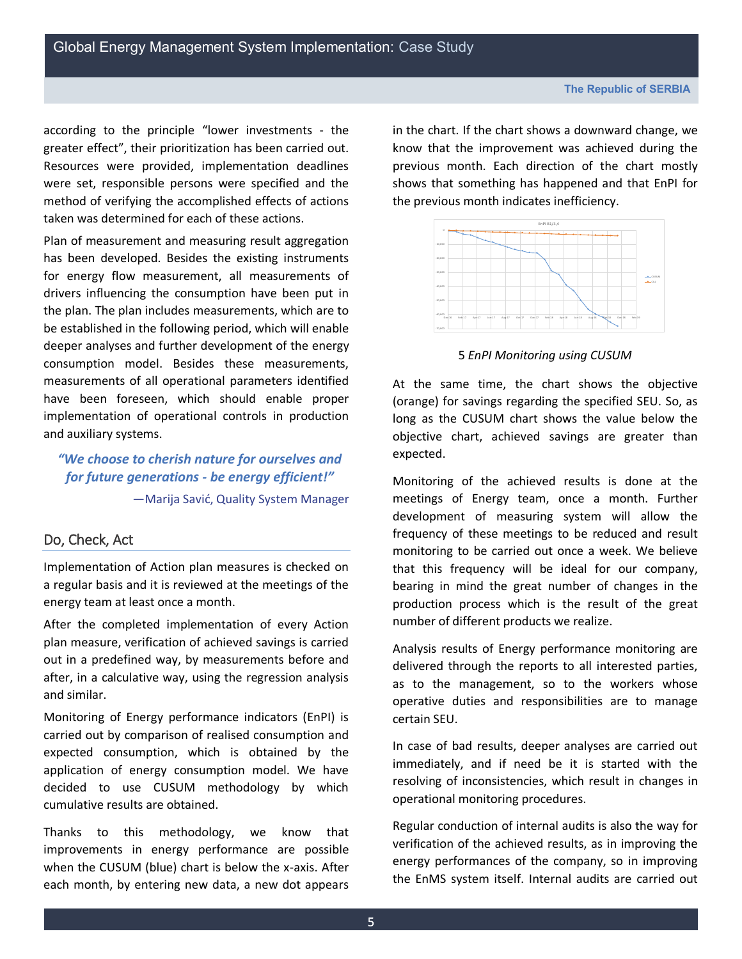according to the principle "lower investments - the greater effect", their prioritization has been carried out. Resources were provided, implementation deadlines were set, responsible persons were specified and the method of verifying the accomplished effects of actions taken was determined for each of these actions.

Plan of measurement and measuring result aggregation has been developed. Besides the existing instruments for energy flow measurement, all measurements of drivers influencing the consumption have been put in the plan. The plan includes measurements, which are to be established in the following period, which will enable deeper analyses and further development of the energy consumption model. Besides these measurements, measurements of all operational parameters identified have been foreseen, which should enable proper implementation of operational controls in production and auxiliary systems.

*"We choose to cherish nature for ourselves and for future generations - be energy efficient!"* —Marija Savić, Quality System Manager

### Do, Check, Act

Implementation of Action plan measures is checked on a regular basis and it is reviewed at the meetings of the energy team at least once a month.

After the completed implementation of every Action plan measure, verification of achieved savings is carried out in a predefined way, by measurements before and after, in a calculative way, using the regression analysis and similar.

Monitoring of Energy performance indicators (EnPI) is carried out by comparison of realised consumption and expected consumption, which is obtained by the application of energy consumption model. We have decided to use CUSUM methodology by which cumulative results are obtained.

Thanks to this methodology, we know that improvements in energy performance are possible when the CUSUM (blue) chart is below the x-axis. After each month, by entering new data, a new dot appears in the chart. If the chart shows a downward change, we know that the improvement was achieved during the previous month. Each direction of the chart mostly shows that something has happened and that EnPI for the previous month indicates inefficiency.



5 *EnPI Monitoring using CUSUM*

At the same time, the chart shows the objective (orange) for savings regarding the specified SEU. So, as long as the CUSUM chart shows the value below the objective chart, achieved savings are greater than expected.

Monitoring of the achieved results is done at the meetings of Energy team, once a month. Further development of measuring system will allow the frequency of these meetings to be reduced and result monitoring to be carried out once a week. We believe that this frequency will be ideal for our company, bearing in mind the great number of changes in the production process which is the result of the great number of different products we realize.

Analysis results of Energy performance monitoring are delivered through the reports to all interested parties, as to the management, so to the workers whose operative duties and responsibilities are to manage certain SEU.

In case of bad results, deeper analyses are carried out immediately, and if need be it is started with the resolving of inconsistencies, which result in changes in operational monitoring procedures.

Regular conduction of internal audits is also the way for verification of the achieved results, as in improving the energy performances of the company, so in improving the EnMS system itself. Internal audits are carried out